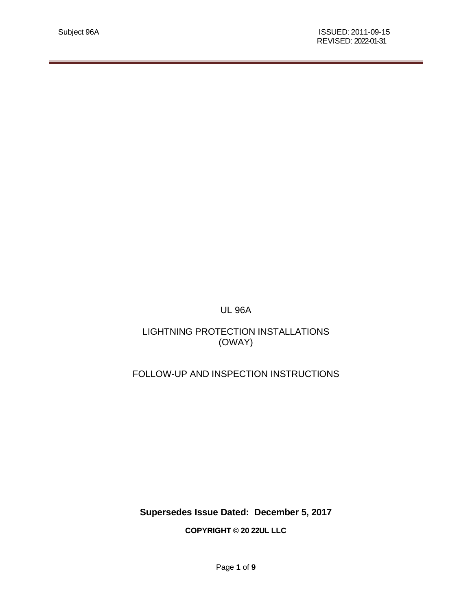UL 96A

# LIGHTNING PROTECTION INSTALLATIONS (OWAY)

# FOLLOW-UP AND INSPECTION INSTRUCTIONS

**Supersedes Issue Dated: December 5, 2017**

**COPYRIGHT © 20 22UL LLC**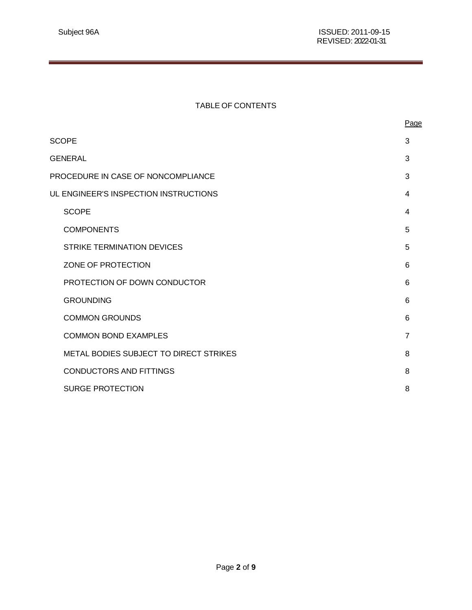### TABLE OF CONTENTS

|                                       |                                               | Page           |  |  |
|---------------------------------------|-----------------------------------------------|----------------|--|--|
|                                       | <b>SCOPE</b>                                  |                |  |  |
|                                       | <b>GENERAL</b>                                |                |  |  |
|                                       | PROCEDURE IN CASE OF NONCOMPLIANCE<br>3       |                |  |  |
| UL ENGINEER'S INSPECTION INSTRUCTIONS |                                               |                |  |  |
|                                       | <b>SCOPE</b>                                  | 4              |  |  |
|                                       | <b>COMPONENTS</b>                             | 5              |  |  |
|                                       | <b>STRIKE TERMINATION DEVICES</b>             | 5              |  |  |
|                                       | ZONE OF PROTECTION                            | 6              |  |  |
|                                       | PROTECTION OF DOWN CONDUCTOR                  | 6              |  |  |
|                                       | <b>GROUNDING</b>                              | 6              |  |  |
|                                       | <b>COMMON GROUNDS</b>                         | 6              |  |  |
|                                       | <b>COMMON BOND EXAMPLES</b>                   | $\overline{7}$ |  |  |
|                                       | <b>METAL BODIES SUBJECT TO DIRECT STRIKES</b> | 8              |  |  |
|                                       | <b>CONDUCTORS AND FITTINGS</b>                | 8              |  |  |
|                                       | <b>SURGE PROTECTION</b>                       | 8              |  |  |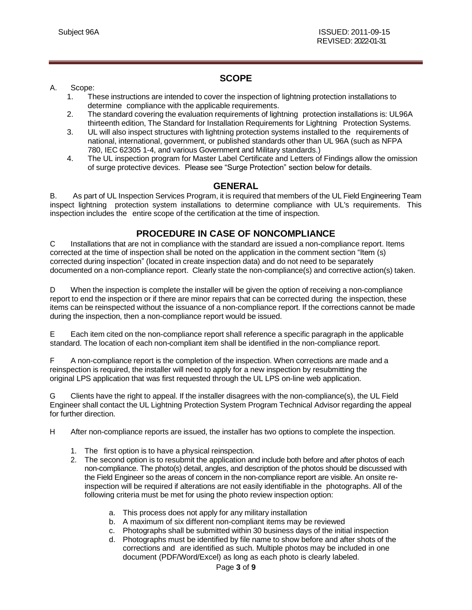## **SCOPE**

### <span id="page-2-0"></span>A. Scope:

- 1. These instructions are intended to cover the inspection of lightning protection installations to determine compliance with the applicable requirements.
- 2. The standard covering the evaluation requirements of lightning protection installations is: UL96A thirteenth edition, The Standard for Installation Requirements for Lightning Protection Systems.
- 3. UL will also inspect structures with lightning protection systems installed to the requirements of national, international, government, or published standards other than UL 96A (such as NFPA 780, IEC 62305 1-4, and various Government and Military standards.)
- 4. The UL inspection program for Master Label Certificate and Letters of Findings allow the omission of surge protective devices. Please see "Surge Protection" section below for details.

### **GENERAL**

<span id="page-2-1"></span>B. As part of UL Inspection Services Program, it is required that members of the UL Field Engineering Team inspect lightning protection system installations to determine compliance with UL's requirements. This inspection includes the entire scope of the certification at the time of inspection.

## **PROCEDURE IN CASE OF NONCOMPLIANCE**

<span id="page-2-2"></span>C Installations that are not in compliance with the standard are issued a non-compliance report. Items corrected at the time of inspection shall be noted on the application in the comment section "Item (s) corrected during inspection" (located in create inspection data) and do not need to be separately documented on a non-compliance report. Clearly state the non-compliance(s) and corrective action(s) taken.

D When the inspection is complete the installer will be given the option of receiving a non-compliance report to end the inspection or if there are minor repairs that can be corrected during the inspection, these items can be reinspected without the issuance of a non-compliance report. If the corrections cannot be made during the inspection, then a non-compliance report would be issued.

E Each item cited on the non-compliance report shall reference a specific paragraph in the applicable standard. The location of each non-compliant item shall be identified in the non-compliance report.

F A non-compliance report is the completion of the inspection. When corrections are made and a reinspection is required, the installer will need to apply for a new inspection by resubmitting the original LPS application that was first requested through the UL LPS on-line web application.

G Clients have the right to appeal. If the installer disagrees with the non-compliance(s), the UL Field Engineer shall contact the UL Lightning Protection System Program Technical Advisor regarding the appeal for further direction.

- H After non-compliance reports are issued, the installer has two options to complete the inspection.
	- 1. The first option is to have a physical reinspection.
	- 2. The second option is to resubmit the application and include both before and after photos of each non-compliance. The photo(s) detail, angles, and description of the photos should be discussed with the Field Engineer so the areas of concern in the non-compliance report are visible. An onsite reinspection will be required if alterations are not easily identifiable in the photographs. All of the following criteria must be met for using the photo review inspection option:
		- a. This process does not apply for any military installation
		- b. A maximum of six different non-compliant items may be reviewed
		- c. Photographs shall be submitted within 30 business days of the initial inspection
		- d. Photographs must be identified by file name to show before and after shots of the corrections and are identified as such. Multiple photos may be included in one document (PDF/Word/Excel) as long as each photo is clearly labeled.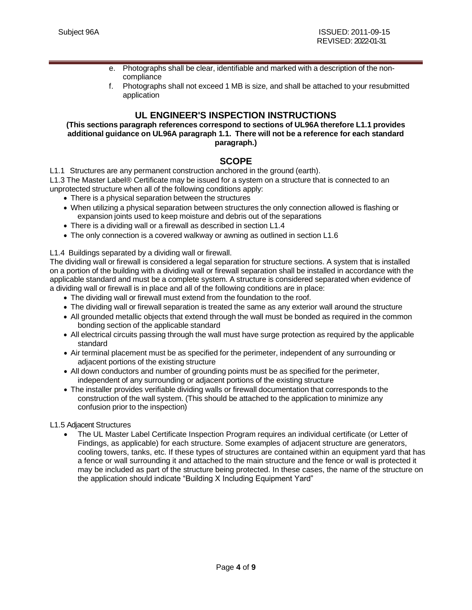- e. Photographs shall be clear, identifiable and marked with a description of the noncompliance
- f. Photographs shall not exceed 1 MB is size, and shall be attached to your resubmitted application

### **UL ENGINEER'S INSPECTION INSTRUCTIONS**

#### <span id="page-3-0"></span>**(This sections paragraph references correspond to sections of UL96A therefore L1.1 provides additional guidance on UL96A paragraph 1.1. There will not be a reference for each standard paragraph.)**

### **SCOPE**

<span id="page-3-1"></span>L1.1 Structures are any permanent construction anchored in the ground (earth).

L1.3 The Master Label® Certificate may be issued for a system on a structure that is connected to an unprotected structure when all of the following conditions apply:

- There is a physical separation between the structures
- When utilizing a physical separation between structures the only connection allowed is flashing or expansion joints used to keep moisture and debris out of the separations
- There is a dividing wall or a firewall as described in section L1.4
- The only connection is a covered walkway or awning as outlined in section L1.6

#### L1.4 Buildings separated by a dividing wall or firewall.

The dividing wall or firewall is considered a legal separation for structure sections. A system that is installed on a portion of the building with a dividing wall or firewall separation shall be installed in accordance with the applicable standard and must be a complete system. A structure is considered separated when evidence of a dividing wall or firewall is in place and all of the following conditions are in place:

- The dividing wall or firewall must extend from the foundation to the roof.
- The dividing wall or firewall separation is treated the same as any exterior wall around the structure
- All grounded metallic objects that extend through the wall must be bonded as required in the common bonding section of the applicable standard
- All electrical circuits passing through the wall must have surge protection as required by the applicable standard
- Air terminal placement must be as specified for the perimeter, independent of any surrounding or adjacent portions of the existing structure
- All down conductors and number of grounding points must be as specified for the perimeter, independent of any surrounding or adjacent portions of the existing structure
- The installer provides verifiable dividing walls or firewall documentation that corresponds to the construction of the wall system. (This should be attached to the application to minimize any confusion prior to the inspection)

#### L1.5 Adjacent Structures

• The UL Master Label Certificate Inspection Program requires an individual certificate (or Letter of Findings, as applicable) for each structure. Some examples of adjacent structure are generators, cooling towers, tanks, etc. If these types of structures are contained within an equipment yard that has a fence or wall surrounding it and attached to the main structure and the fence or wall is protected it may be included as part of the structure being protected. In these cases, the name of the structure on the application should indicate "Building X Including Equipment Yard"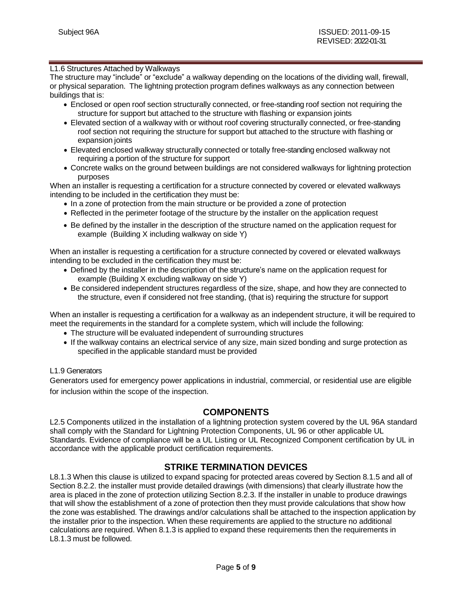#### L1.6 Structures Attached by Walkways

The structure may "include" or "exclude" a walkway depending on the locations of the dividing wall, firewall, or physical separation. The lightning protection program defines walkways as any connection between buildings that is:

- Enclosed or open roof section structurally connected, or free-standing roof section not requiring the structure for support but attached to the structure with flashing or expansion joints
- Elevated section of a walkway with or without roof covering structurally connected, or free-standing roof section not requiring the structure for support but attached to the structure with flashing or expansion joints
- Elevated enclosed walkway structurally connected or totally free-standing enclosed walkway not requiring a portion of the structure for support
- Concrete walks on the ground between buildings are not considered walkways for lightning protection purposes

When an installer is requesting a certification for a structure connected by covered or elevated walkways intending to be included in the certification they must be:

- In a zone of protection from the main structure or be provided a zone of protection
- Reflected in the perimeter footage of the structure by the installer on the application request
- Be defined by the installer in the description of the structure named on the application request for example (Building X including walkway on side Y)

When an installer is requesting a certification for a structure connected by covered or elevated walkways intending to be excluded in the certification they must be:

- Defined by the installer in the description of the structure's name on the application request for example (Building X excluding walkway on side Y)
- Be considered independent structures regardless of the size, shape, and how they are connected to the structure, even if considered not free standing, (that is) requiring the structure for support

When an installer is requesting a certification for a walkway as an independent structure, it will be required to meet the requirements in the standard for a complete system, which will include the following:

- The structure will be evaluated independent of surrounding structures
- If the walkway contains an electrical service of any size, main sized bonding and surge protection as specified in the applicable standard must be provided

### L1.9 Generators

Generators used for emergency power applications in industrial, commercial, or residential use are eligible for inclusion within the scope of the inspection.

### **COMPONENTS**

L2.5 Components utilized in the installation of a lightning protection system covered by the UL 96A standard shall comply with the Standard for Lightning Protection Components, UL 96 or other applicable UL Standards. Evidence of compliance will be a UL Listing or UL Recognized Component certification by UL in accordance with the applicable product certification requirements.

### **STRIKE TERMINATION DEVICES**

<span id="page-4-0"></span>L8.1.3 When this clause is utilized to expand spacing for protected areas covered by Section 8.1.5 and all of Section 8.2.2. the installer must provide detailed drawings (with dimensions) that clearly illustrate how the area is placed in the zone of protection utilizing Section 8.2.3. If the installer in unable to produce drawings that will show the establishment of a zone of protection then they must provide calculations that show how the zone was established. The drawings and/or calculations shall be attached to the inspection application by the installer prior to the inspection. When these requirements are applied to the structure no additional calculations are required. When 8.1.3 is applied to expand these requirements then the requirements in L8.1.3 must be followed.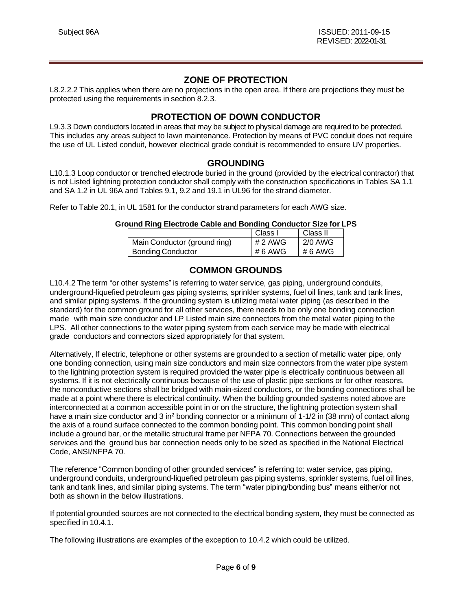### **ZONE OF PROTECTION**

<span id="page-5-0"></span>L8.2.2.2 This applies when there are no projections in the open area. If there are projections they must be protected using the requirements in section 8.2.3.

## **PROTECTION OF DOWN CONDUCTOR**

L9.3.3 Down conductors located in areas that may be subject to physical damage are required to be protected. This includes any areas subject to lawn maintenance. Protection by means of PVC conduit does not require the use of UL Listed conduit, however electrical grade conduit is recommended to ensure UV properties.

### **GROUNDING**

<span id="page-5-1"></span>L10.1.3 Loop conductor or trenched electrode buried in the ground (provided by the electrical contractor) that is not Listed lightning protection conductor shall comply with the construction specifications in Tables SA 1.1 and SA 1.2 in UL 96A and Tables 9.1, 9.2 and 19.1 in UL96 for the strand diameter.

Refer to Table 20.1, in UL 1581 for the conductor strand parameters for each AWG size.

|                              | Class I   | Class II |
|------------------------------|-----------|----------|
| Main Conductor (ground ring) | $# 2$ AWG | 2/0 AWG  |
| <b>Bonding Conductor</b>     | # 6 AWG   | # 6 AWG  |

## **COMMON GROUNDS**

<span id="page-5-2"></span>L10.4.2 The term "or other systems" is referring to water service, gas piping, underground conduits, underground-liquefied petroleum gas piping systems, sprinkler systems, fuel oil lines, tank and tank lines, and similar piping systems. If the grounding system is utilizing metal water piping (as described in the standard) for the common ground for all other services, there needs to be only one bonding connection made with main size conductor and LP Listed main size connectors from the metal water piping to the LPS. All other connections to the water piping system from each service may be made with electrical grade conductors and connectors sized appropriately for that system.

Alternatively, If electric, telephone or other systems are grounded to a section of metallic water pipe, only one bonding connection, using main size conductors and main size connectors from the water pipe system to the lightning protection system is required provided the water pipe is electrically continuous between all systems. If it is not electrically continuous because of the use of plastic pipe sections or for other reasons, the nonconductive sections shall be bridged with main-sized conductors, or the bonding connections shall be made at a point where there is electrical continuity. When the building grounded systems noted above are interconnected at a common accessible point in or on the structure, the lightning protection system shall have a main size conductor and 3 in<sup>2</sup> bonding connector or a minimum of 1-1/2 in (38 mm) of contact along the axis of a round surface connected to the common bonding point. This common bonding point shall include a ground bar, or the metallic structural frame per NFPA 70. Connections between the grounded services and the ground bus bar connection needs only to be sized as specified in the National Electrical Code, ANSI/NFPA 70.

The reference "Common bonding of other grounded services" is referring to: water service, gas piping, underground conduits, underground-liquefied petroleum gas piping systems, sprinkler systems, fuel oil lines, tank and tank lines, and similar piping systems. The term "water piping/bonding bus" means either/or not both as shown in the below illustrations.

If potential grounded sources are not connected to the electrical bonding system, they must be connected as specified in 10.4.1.

The following illustrations are examples of the exception to 10.4.2 which could be utilized.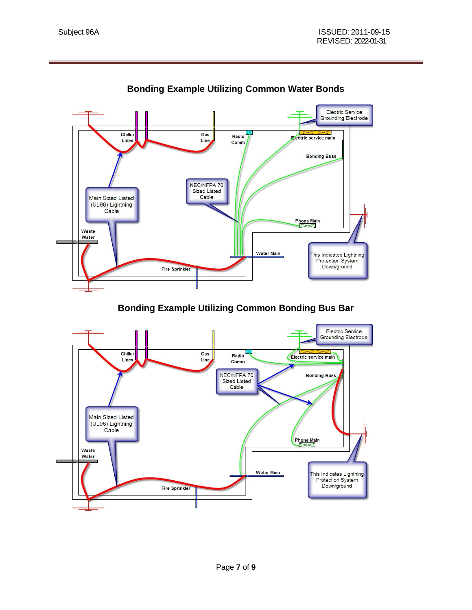

**Bonding Example Utilizing Common Water Bonds**

**Bonding Example Utilizing Common Bonding Bus Bar**

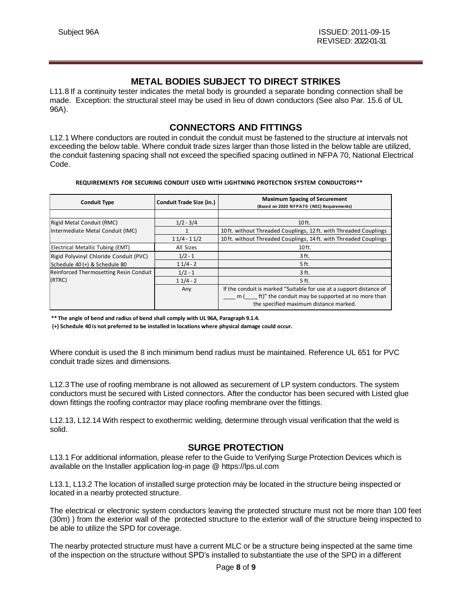### **METAL BODIES SUBJECT TO DIRECT STRIKES**

<span id="page-7-0"></span>L11.8 If a continuity tester indicates the metal body is grounded a separate bonding connection shall be made. Exception: the structural steel may be used in lieu of down conductors (See also Par. 15.6 of UL 96A).

## **CONNECTORS AND FITTINGS**

L12.1 Where conductors are routed in conduit the conduit must be fastened to the structure at intervals not exceeding the below table. Where conduit trade sizes larger than those listed in the below table are utilized, the conduit fastening spacing shall not exceed the specified spacing outlined in NFPA 70, National Electrical Code.

#### **REQUIREMENTS FOR SECURING CONDUIT USED WITH LIGHTNING PROTECTION SYSTEM CONDUCTORS\*\***

| <b>Conduit Type</b>                    | <b>Conduit Trade Size (in.)</b> | <b>Maximum Spacing of Securement</b><br>(Based on 2020 NFPA70 (NEC) Requirements)                                                                                         |
|----------------------------------------|---------------------------------|---------------------------------------------------------------------------------------------------------------------------------------------------------------------------|
|                                        |                                 |                                                                                                                                                                           |
| Rigid Metal Conduit (RMC)              | $1/2 - 3/4$                     | $10$ ft.                                                                                                                                                                  |
| Intermediate Metal Conduit (IMC)       |                                 | 10ft. without Threaded Couplings, 12 ft. with Threaded Couplings                                                                                                          |
|                                        | $11/4 - 11/2$                   | 10ft. without Threaded Couplings, 14 ft. with Threaded Couplings                                                                                                          |
| Electrical Metallic Tubing (EMT)       | All Sizes                       | $10$ ft.                                                                                                                                                                  |
| Rigid Polyvinyl Chloride Conduit (PVC) | $1/2 - 1$                       | $3$ ft.                                                                                                                                                                   |
| Schedule 40 (+) & Schedule 80          | $11/4 - 2$                      | 5 ft.                                                                                                                                                                     |
| Reinforced Thermosetting Resin Conduit | $1/2 - 1$                       | 3 ft.                                                                                                                                                                     |
| (RTRC)                                 | $11/4 - 2$                      | 5 ft.                                                                                                                                                                     |
|                                        | Any                             | If the conduit is marked "Suitable for use at a support distance of<br>ft)" the conduit may be supported at no more than<br>m (<br>the specified maximum distance marked. |

**\*\* The angle of bend and radius of bend shall comply with UL 96A, Paragraph 9.1.4.**

**(+) Schedule 40 is not preferred to be installed in locations where physical damage could occur.**

Where conduit is used the 8 inch minimum bend radius must be maintained. Reference UL 651 for PVC conduit trade sizes and dimensions.

L12.3 The use of roofing membrane is not allowed as securement of LP system conductors. The system conductors must be secured with Listed connectors. After the conductor has been secured with Listed glue down fittings the roofing contractor may place roofing membrane over the fittings.

L12.13, L12.14 With respect to exothermic welding, determine through visual verification that the weld is solid.

### **SURGE PROTECTION**

<span id="page-7-1"></span>L13.1 For additional information, please refer to the Guide to Verifying Surge Protection Devices which is available on the Installer application log-in page @ https://lps.ul.com

L13.1, L13.2 The location of installed surge protection may be located in the structure being inspected or located in a nearby protected structure.

The electrical or electronic system conductors leaving the protected structure must not be more than 100 feet (30m) ) from the exterior wall of the protected structure to the exterior wall of the structure being inspected to be able to utilize the SPD for coverage.

The nearby protected structure must have a current MLC or be a structure being inspected at the same time of the inspection on the structure without SPD's installed to substantiate the use of the SPD in a different